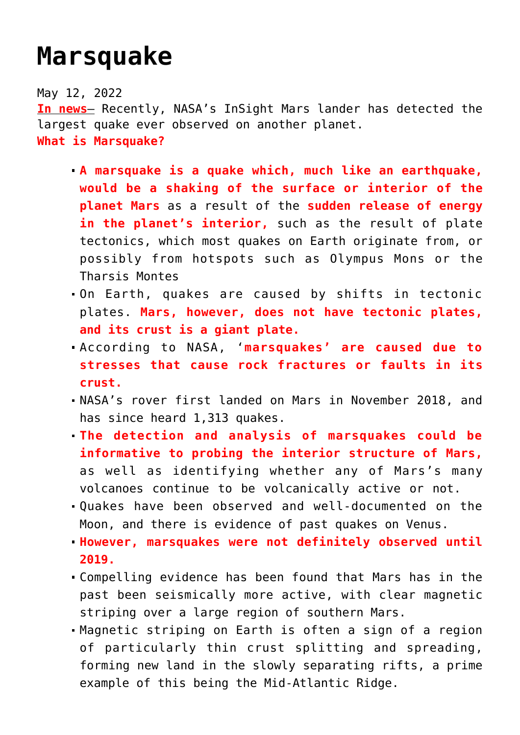## **[Marsquake](https://journalsofindia.com/marsquake/)**

May 12, 2022 **In news**– Recently, NASA's InSight Mars lander has detected the largest quake ever observed on another planet. **What is Marsquake?**

- **A marsquake is a quake which, much like an earthquake, would be a shaking of the surface or interior of the planet Mars** as a result of the **sudden release of energy** in the planet's interior, such as the result of plate tectonics, which most quakes on Earth originate from, or possibly from hotspots such as Olympus Mons or the Tharsis Montes
- On Earth, quakes are caused by shifts in tectonic plates. **Mars, however, does not have tectonic plates, and its crust is a giant plate.**
- According to NASA, '**marsquakes' are caused due to stresses that cause rock fractures or faults in its crust.**
- NASA's rover first landed on Mars in November 2018, and has since heard 1,313 quakes.
- **The detection and analysis of marsquakes could be informative to probing the interior structure of Mars,** as well as identifying whether any of Mars's many volcanoes continue to be volcanically active or not.
- Quakes have been observed and well-documented on the Moon, and there is evidence of past quakes on Venus.
- **However, marsquakes were not definitely observed until 2019.**
- Compelling evidence has been found that Mars has in the past been seismically more active, with clear magnetic striping over a large region of southern Mars.
- Magnetic striping on Earth is often a sign of a region of particularly thin crust splitting and spreading, forming new land in the slowly separating rifts, a prime example of this being the Mid-Atlantic Ridge.